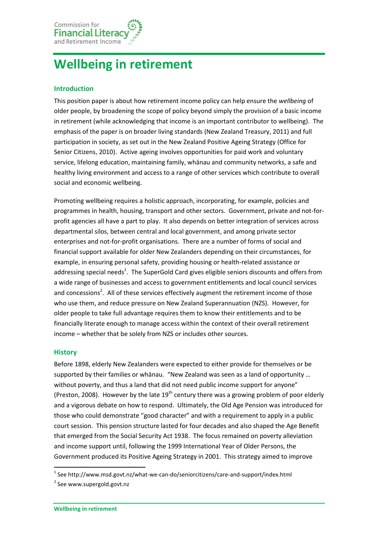

# **Wellbeing in retirement**

## **Introduction**

This position paper is about how retirement income policy can help ensure the *wellbeing* of older people, by broadening the scope of policy beyond simply the provision of a basic income in retirement (while acknowledging that income is an important contributor to wellbeing). The emphasis of the paper is on broader living standards [\(New Zealand Treasury,](#page-4-0) 2011) and full participation in society, as set out in the New Zealand Positive Ageing Strategy [\(Office for](#page-4-1)  [Senior Citizens,](#page-4-1) 2010). Active ageing involves opportunities for paid work and voluntary service, lifelong education, maintaining family, whānau and community networks, a safe and healthy living environment and access to a range of other services which contribute to overall social and economic wellbeing.

Promoting wellbeing requires a holistic approach, incorporating, for example, policies and programmes in health, housing, transport and other sectors. Government, private and not-forprofit agencies all have a part to play. It also depends on better integration of services across departmental silos, between central and local government, and among private sector enterprises and not-for-profit organisations. There are a number of forms of social and financial support available for older New Zealanders depending on their circumstances, for example, in ensuring personal safety, providing housing or health-related assistance or addressing special needs<sup>1</sup>. The SuperGold Card gives eligible seniors discounts and offers from a wide range of businesses and access to government entitlements and local council services and concessions<sup>2</sup>. All of these services effectively augment the retirement income of those who use them, and reduce pressure on New Zealand Superannuation (NZS). However, for older people to take full advantage requires them to know their entitlements and to be financially literate enough to manage access within the context of their overall retirement income – whether that be solely from NZS or includes other sources.

#### **History**

1

Before 1898, elderly New Zealanders were expected to either provide for themselves or be supported by their families or whānau. "New Zealand was seen as a land of opportunity … without poverty, and thus a land that did not need public income support for anyone" [\(Preston, 2008\)](#page-4-2). However by the late  $19<sup>th</sup>$  century there was a growing problem of poor elderly and a vigorous debate on how to respond. Ultimately, the Old Age Pension was introduced for those who could demonstrate "good character" and with a requirement to apply in a public court session. This pension structure lasted for four decades and also shaped the Age Benefit that emerged from the Social Security Act 1938. The focus remained on poverty alleviation and income support until, following the 1999 International Year of Older Persons, the Government produced its Positive Ageing Strategy in 2001. This strategy aimed to improve

<sup>&</sup>lt;sup>1</sup> Se[e http://www.msd.govt.nz/what-we-can-do/seniorcitizens/care-and-support/index.html](http://www.msd.govt.nz/what-we-can-do/seniorcitizens/care-and-support/index.html)

<sup>&</sup>lt;sup>2</sup> Se[e www.supergold.govt.nz](http://www.supergold.govt.nz/)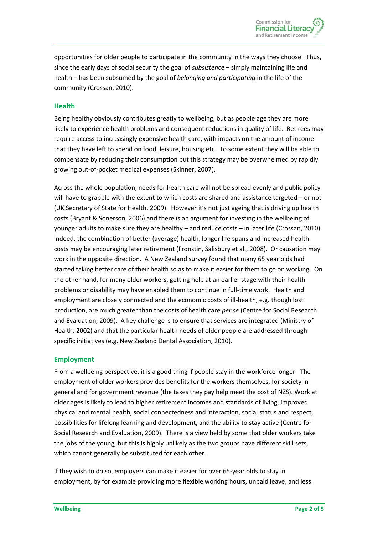opportunities for older people to participate in the community in the ways they choose. Thus, since the early days of social security the goal of *subsistence* – simply maintaining life and health – has been subsumed by the goal of *belonging and participating* in the life of the community [\(Crossan,](#page-3-0) 2010).

### **Health**

Being healthy obviously contributes greatly to wellbeing, but as people age they are more likely to experience health problems and consequent reductions in quality of life. Retirees may require access to increasingly expensive health care, with impacts on the amount of income that they have left to spend on food, leisure, housing etc. To some extent they will be able to compensate by reducing their consumption but this strategy may be overwhelmed by rapidly growing out-of-pocket medical expenses [\(Skinner,](#page-4-3) 2007).

Across the whole population, needs for health care will not be spread evenly and public policy will have to grapple with the extent to which costs are shared and assistance targeted – or not [\(UK Secretary of State for Health,](#page-4-4) 2009). However it's not just ageing that is driving up health costs (Bryant & [Sonerson,](#page-3-1) 2006) and there is an argument for investing in the wellbeing of younger adults to make sure they are healthy – and reduce costs – in later life [\(Crossan,](#page-3-0) 2010). Indeed, the combination of better (average) health, longer life spans and increased health costs may be encouraging later retirement [\(Fronstin, Salisbury et al.,](#page-4-5) 2008). Or causation may work in the opposite direction. A New Zealand survey found that many 65 year olds had started taking better care of their health so as to make it easier for them to go on working. On the other hand, for many older workers, getting help at an earlier stage with their health problems or disability may have enabled them to continue in full-time work. Health and employment are closely connected and the economic costs of ill-health, e.g. though lost production, are much greater than the costs of health care *per se* [\(Centre for Social Research](#page-3-2)  [and Evaluation,](#page-3-2) 2009). A key challenge is to ensure that services are integrated [\(Ministry of](#page-4-6)  [Health,](#page-4-6) 2002) and that the particular health needs of older people are addressed through specific initiatives [\(e.g. New Zealand Dental Association,](#page-4-7) 2010).

## **Employment**

From a wellbeing perspective, it is a good thing if people stay in the workforce longer. The employment of older workers provides benefits for the workers themselves, for society in general and for government revenue (the taxes they pay help meet the cost of NZS). Work at older ages is likely to lead to higher retirement incomes and standards of living, improved physical and mental health, social connectedness and interaction, social status and respect, possibilities for lifelong learning and development, and the ability to stay active [\(Centre for](#page-3-2)  [Social Research and Evaluation,](#page-3-2) 2009). There is a view held by some that older workers take the jobs of the young, but this is highly unlikely as the two groups have different skill sets, which cannot generally be substituted for each other.

If they wish to do so, employers can make it easier for over 65-year olds to stay in employment, by for example providing more flexible working hours, unpaid leave, and less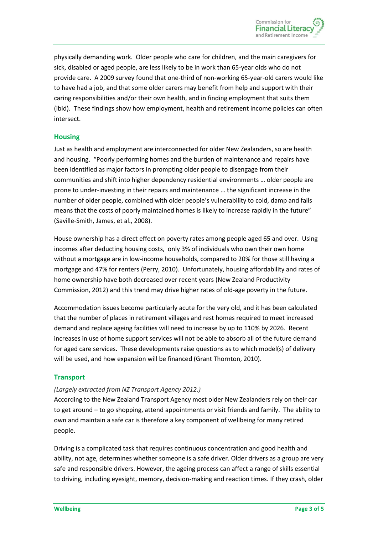physically demanding work. Older people who care for children, and the main caregivers for sick, disabled or aged people, are less likely to be in work than 65-year olds who do not provide care. A 2009 survey found that one-third of non-working 65-year-old carers would like to have had a job, and that some older carers may benefit from help and support with their caring responsibilities and/or their own health, and in finding employment that suits them (ibid). These findings show how employment, health and retirement income policies can often intersect.

## **Housing**

Just as health and employment are interconnected for older New Zealanders, so are health and housing. "Poorly performing homes and the burden of maintenance and repairs have been identified as major factors in prompting older people to disengage from their communities and shift into higher dependency residential environments … older people are prone to under-investing in their repairs and maintenance … the significant increase in the number of older people, combined with older people's vulnerability to cold, damp and falls means that the costs of poorly maintained homes is likely to increase rapidly in the future" [\(Saville-Smith, James, et al.,](#page-4-8) 2008).

House ownership has a direct effect on poverty rates among people aged 65 and over. Using incomes after deducting housing costs, only 3% of individuals who own their own home without a mortgage are in low-income households, compared to 20% for those still having a mortgage and 47% for renters [\(Perry,](#page-4-9) 2010). Unfortunately, housing affordability and rates of home ownership have both decreased over recent years [\(New Zealand Productivity](#page-4-10)  [Commission,](#page-4-10) 2012) and this trend may drive higher rates of old-age poverty in the future.

Accommodation issues become particularly acute for the very old, and it has been calculated that the number of places in retirement villages and rest homes required to meet increased demand and replace ageing facilities will need to increase by up to 110% by 2026. Recent increases in use of home support services will not be able to absorb all of the future demand for aged care services. These developments raise questions as to which model(s) of delivery will be used, and how expansion will be financed [\(Grant Thornton,](#page-4-11) 2010).

#### **Transport**

#### *[\(Largely extracted from NZ Transport Agency 2012.](#page-4-12))*

According to the New Zealand Transport Agency most older New Zealanders rely on their car to get around – to go shopping, attend appointments or visit friends and family. The ability to own and maintain a safe car is therefore a key component of wellbeing for many retired people.

Driving is a complicated task that requires continuous concentration and good health and ability, not age, determines whether someone is a safe driver. Older drivers as a group are very safe and responsible drivers. However, the ageing process can affect a range of skills essential to driving, including eyesight, memory, decision-making and reaction times. If they crash, older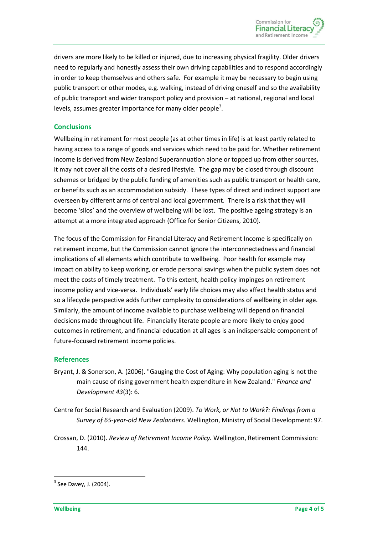drivers are more likely to be killed or injured, due to increasing physical fragility. Older drivers need to regularly and honestly assess their own driving capabilities and to respond accordingly in order to keep themselves and others safe. For example it may be necessary to begin using public transport or other modes, e.g. walking, instead of driving oneself and so the availability of public transport and wider transport policy and provision – at national, regional and local levels, assumes greater importance for many older people<sup>3</sup>.

## **Conclusions**

Wellbeing in retirement for most people (as at other times in life) is at least partly related to having access to a range of goods and services which need to be paid for. Whether retirement income is derived from New Zealand Superannuation alone or topped up from other sources, it may not cover all the costs of a desired lifestyle. The gap may be closed through discount schemes or bridged by the public funding of amenities such as public transport or health care, or benefits such as an accommodation subsidy. These types of direct and indirect support are overseen by different arms of central and local government. There is a risk that they will become 'silos' and the overview of wellbeing will be lost. The positive ageing strategy is an attempt at a more integrated approach [\(Office for Senior Citizens,](#page-4-1) 2010).

The focus of the Commission for Financial Literacy and Retirement Income is specifically on retirement income, but the Commission cannot ignore the interconnectedness and financial implications of all elements which contribute to wellbeing. Poor health for example may impact on ability to keep working, or erode personal savings when the public system does not meet the costs of timely treatment. To this extent, health policy impinges on retirement income policy and vice-versa. Individuals' early life choices may also affect health status and so a lifecycle perspective adds further complexity to considerations of wellbeing in older age. Similarly, the amount of income available to purchase wellbeing will depend on financial decisions made throughout life. Financially literate people are more likely to enjoy good outcomes in retirement, and financial education at all ages is an indispensable component of future-focused retirement income policies.

#### **References**

- <span id="page-3-1"></span>Bryant, J. & Sonerson, A. (2006). "Gauging the Cost of Aging: Why population aging is not the main cause of rising government health expenditure in New Zealand." *Finance and Development 43*(3): 6.
- <span id="page-3-2"></span>Centre for Social Research and Evaluation (2009). *To Work, or Not to Work?: Findings from a Survey of 65-year-old New Zealanders.* Wellington, Ministry of Social Development: 97.
- <span id="page-3-0"></span>Crossan, D. (2010). *Review of Retirement Income Policy.* Wellington, Retirement Commission: 144.

**.** 

 $3$  See Davey, J. (2004).